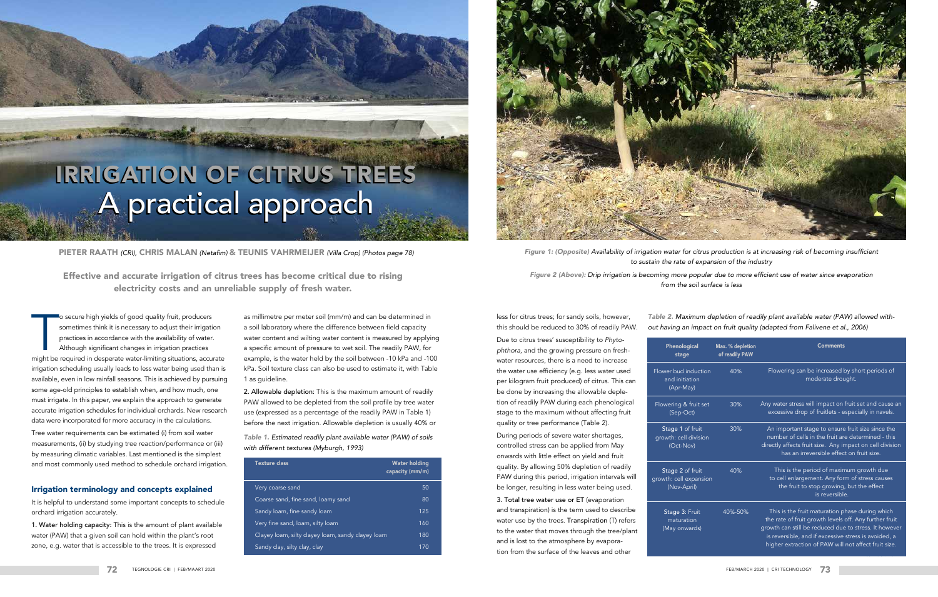## IRRIGATION OF CITRUS TREES A practical approach

The secure high yields of good quality fruit, producers<br>sometimes think it is necessary to adjust their irrigation<br>practices in accordance with the availability of water.<br>Although significant changes in irrigation practice o secure high yields of good quality fruit, producers sometimes think it is necessary to adjust their irrigation practices in accordance with the availability of water. Although significant changes in irrigation practices irrigation scheduling usually leads to less water being used than is available, even in low rainfall seasons. This is achieved by pursuing some age-old principles to establish when, and how much, one must irrigate. In this paper, we explain the approach to generate accurate irrigation schedules for individual orchards. New research data were incorporated for more accuracy in the calculations.

Tree water requirements can be estimated (i) from soil water measurements, (ii) by studying tree reaction/performance or (iii) by measuring climatic variables. Last mentioned is the simplest and most commonly used method to schedule orchard irrigation.

#### Irrigation terminology and concepts explained

It is helpful to understand some important concepts to schedule orchard irrigation accurately.

PIETER RAATH (CRI), CHRIS MALAN (Netafim) & TEUNIS VAHRMEIJER (Villa Crop) (Photos page 78) Figure 1: (Opposite) Availability of irrigation water for citrus production is at increasing risk of becoming insufficient *to sustain the rate of expansion of the industry*

1. Water holding capacity: This is the amount of plant available water (PAW) that a given soil can hold within the plant's root zone, e.g. water that is accessible to the trees. It is expressed

as millimetre per meter soil (mm/m) and can be determined in a soil laboratory where the difference between field capacity water content and wilting water content is measured by applying a specific amount of pressure to wet soil. The readily PAW, for example, is the water held by the soil between -10 kPa and -100 kPa. Soil texture class can also be used to estimate it, with Table 1 as guideline.

2. Allowable depletion: This is the maximum amount of readily PAW allowed to be depleted from the soil profile by tree water use (expressed as a percentage of the readily PAW in Table 1) before the next irrigation. Allowable depletion is usually 40% or *Figure 2 (Above):* Drip irrigation is becoming more popular due to more efficient use of water since evaporation from the soil surface is less

less for citrus trees; for sandy soils, however, this should be reduced to 30% of readily PAW.

Due to citrus trees' susceptibility to *Phytophthora,* and the growing pressure on freshwater resources, there is a need to increase the water use efficiency (e.g. less water used per kilogram fruit produced) of citrus. This can be done by increasing the allowable depletion of readily PAW during each phenological stage to the maximum without affecting fruit quality or tree performance (Table 2).

During periods of severe water shortages, controlled stress can be applied from May onwards with little effect on yield and fruit quality. By allowing 50% depletion of readily PAW during this period, irrigation intervals will be longer, resulting in less water being used.

3. Total tree water use or ET (evaporation and transpiration) is the term used to describe water use by the trees. Transpiration (T) refers to the water that moves through the tree/plant and is lost to the atmosphere by evaporation from the surface of the leaves and other

Flower

and Flower

Stage growth

Stage growth:  $(Nc$ 

> Stag ma  $(Ma)$

*Table 1.* Estimated readily plant available water (PAW) of soils *with different textures (Myburgh, 1993)*

| <b>Texture class</b>                              | <b>Water holding</b><br>capacity (mm/m) |
|---------------------------------------------------|-----------------------------------------|
| Very coarse sand                                  | 50                                      |
| Coarse sand, fine sand, loamy sand                | 80                                      |
| Sandy loam, fine sandy loam                       | 125                                     |
| Very fine sand, loam, silty loam                  | 160                                     |
| Clayey loam, silty clayey loam, sandy clayey loam | 180                                     |
| Sandy clay, silty clay, clay                      | 170                                     |



*Table 2.* Maximum depletion of readily plant available water (PAW) allowed without having an impact on fruit quality (adapted from Falivene et al., 2006)

| Phenological<br>stage                                | Max. % depletion<br>of readily PAW | <b>Comments</b>                                                                                                                                                                                                                                                                    |
|------------------------------------------------------|------------------------------------|------------------------------------------------------------------------------------------------------------------------------------------------------------------------------------------------------------------------------------------------------------------------------------|
| er bud induction<br>and initiation<br>(Apr-May)      | 40%                                | Flowering can be increased by short periods of<br>moderate drought.                                                                                                                                                                                                                |
| vering & fruit set<br>(Sep-Oct)                      | 30%                                | Any water stress will impact on fruit set and cause an<br>excessive drop of fruitlets - especially in navels.                                                                                                                                                                      |
| tage 1 of fruit<br>wth: cell division<br>(Oct-Nov)   | 30%                                | An important stage to ensure fruit size since the<br>number of cells in the fruit are determined - this<br>directly affects fruit size. Any impact on cell division<br>has an irreversible effect on fruit size.                                                                   |
| tage 2 of fruit<br>th: cell expansion<br>(Nov-April) | 40%                                | This is the period of maximum growth due<br>to cell enlargement. Any form of stress causes<br>the fruit to stop growing, but the effect<br>is reversible.                                                                                                                          |
| Stage 3: Fruit<br>maturation<br>May onwards)         | 40%-50%                            | This is the fruit maturation phase during which<br>the rate of fruit growth levels off. Any further fruit<br>growth can still be reduced due to stress. It however<br>is reversible, and if excessive stress is avoided, a<br>higher extraction of PAW will not affect fruit size. |

Effective and accurate irrigation of citrus trees has become critical due to rising electricity costs and an unreliable supply of fresh water.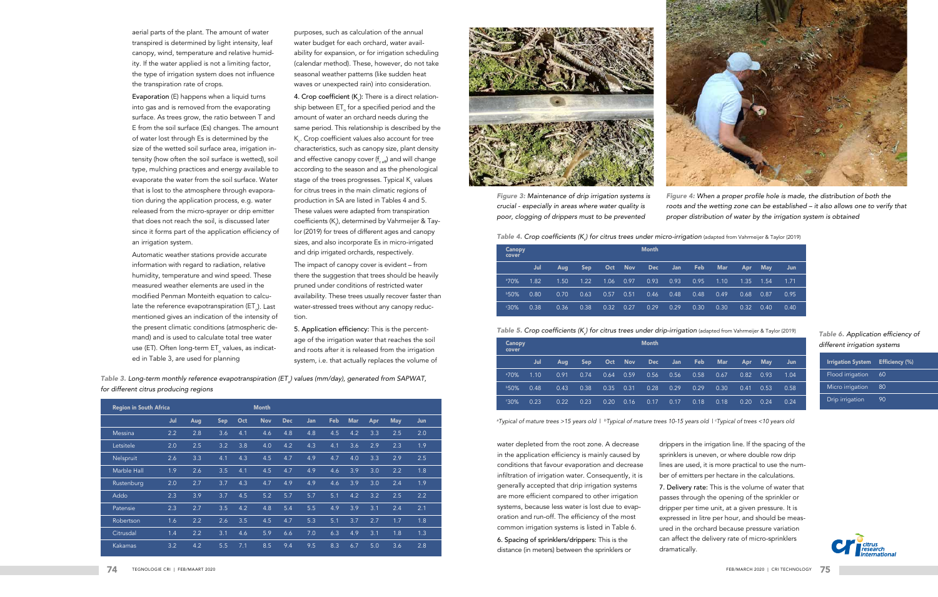| <b>Region in South Africa</b> |     |     |            |     | <b>Month</b> |            |     |     |            |     |            |     |
|-------------------------------|-----|-----|------------|-----|--------------|------------|-----|-----|------------|-----|------------|-----|
|                               | Jul | Aug | <b>Sep</b> | Oct | <b>Nov</b>   | <b>Dec</b> | Jan | Feb | <b>Mar</b> | Apr | <b>May</b> | Jun |
| Messina                       | 2.2 | 2.8 | 3.6        | 4.1 | 4.6          | 4.8        | 4.8 | 4.5 | 4.2        | 3.3 | 2.5        | 2.0 |
| Letsitele                     | 2.0 | 2.5 | 3.2        | 3.8 | 4.0          | 4.2        | 4.3 | 4.1 | 3.6        | 2.9 | 2.3        | 1.9 |
| Nelspruit                     | 2.6 | 3.3 | 4.1        | 4.3 | 4.5          | 4.7        | 4.9 | 4.7 | 4.0        | 3.3 | 2.9        | 2.5 |
| Marble Hall                   | 1.9 | 2.6 | 3.5        | 4.1 | 4.5          | 4.7        | 4.9 | 4.6 | 3.9        | 3.0 | 2.2        | 1.8 |
| Rustenburg                    | 2.0 | 2.7 | 3.7        | 4.3 | 4.7          | 4.9        | 4.9 | 4.6 | 3.9        | 3.0 | 2.4        | 1.9 |
| Addo                          | 2.3 | 3.9 | 3.7        | 4.5 | 5.2          | 5.7        | 5.7 | 5.1 | 4.2        | 3.2 | 2.5        | 2.2 |
| Patensie                      | 2.3 | 2.7 | 3.5        | 4.2 | 4.8          | 5.4        | 5.5 | 4.9 | 3.9        | 3.1 | 2.4        | 2.1 |
| <b>Robertson</b>              | 1.6 | 2.2 | 2.6        | 3.5 | 4.5          | 4.7        | 5.3 | 5.1 | 3.7        | 2.7 | 1.7        | 1.8 |
| Citrusdal                     | 1.4 | 2.2 | 3.1        | 4.6 | 5.9          | 6.6        | 7.0 | 6.3 | 4.9        | 3.1 | 1.8        | 1.3 |
| <b>Kakamas</b>                | 3.2 | 4.2 | 5.5        | 7.1 | 8.5          | 9.4        | 9.5 | 8.3 | 6.7        | 5.0 | 3.6        | 2.8 |



*Table 4.* Crop coefficients (K*<sup>c</sup>* ) for citrus trees under micro-irrigation (adapted from Vahrmeijer & Taylor (2019)

| <b>Canopy</b><br>cover |      | <b>Month</b> |            |      |            |            |      |      |            |      |            |      |  |
|------------------------|------|--------------|------------|------|------------|------------|------|------|------------|------|------------|------|--|
|                        | Jul  | <b>Aug</b>   | <b>Sep</b> | Oct  | <b>Nov</b> | <b>Dec</b> | Jan  | Feb  | <b>Mar</b> | Apr  | <b>May</b> | Jun  |  |
| $370\%$                | 1.82 | 1.50         | 1.22       | 1.06 | 0.97       | 0.93       | 0.93 | 0.95 | 1.10       | 1.35 | 1.54       | 1.71 |  |
| <b>b50%</b>            | 0.80 | 0.70         | 0.63       | 0.57 | 0.51       | 0.46       | 0.48 | 0.48 | 0.49       | 0.68 | 0.87       | 0.95 |  |
| $30\%$                 | 0.38 | 0.36         | 0.38       | 0.32 | 0.27       | 0.29       | 0.29 | 0.30 | 0.30       | 0.32 | 0.40       | 0.40 |  |

*Table 5.* Crop coefficients (K*<sup>c</sup> ) for citrus trees under drip-irrigation* (adapted from Vahrmeijer & Taylor (2019)

| Canopy<br>cover |      | <b>Month</b> |            |      |            |            |      |      |            |      |            |      |  |
|-----------------|------|--------------|------------|------|------------|------------|------|------|------------|------|------------|------|--|
|                 | Jul  | Aug          | <b>Sep</b> | Oct  | <b>Nov</b> | <b>Dec</b> | Jan  | Feb  | <b>Mar</b> | Apr  | <b>May</b> | Jun  |  |
| 370%            | 1.10 | 0.91         | 0.74       | 0.64 | 0.59       | 0.56       | 0.56 | 0.58 | 0.67       | 0.82 | 0.93       | 1.04 |  |
| <b>b50%</b>     | 0.48 | 0.43         | 0.38       | 0.35 | 0.31       | 0.28       | 0.29 | 0.29 | 0.30       | 0.41 | 0.53       | 0.58 |  |
| $30\%$          | 0.23 | 0.22         | 0.23       | 0.20 | 0.16       | 0.17       | 0.17 | 0.18 | 0.18       | 0.20 | 0.24       | 0.24 |  |

*a Typical of mature trees >15 years old* | *bTypical of mature trees 10-15 years old* | *<sup>c</sup> Typical of trees <10 years old*



*Figure 4:* When a proper profile hole is made, the distribution of both the *roots and the wetting zone can be established – it also allows one to verify that*  proper distribution of water by the irrigation system is obtained

|  | <i>.</i><br>igation (adapted from Vahrmeijer & Taylor (2019) |  |  |
|--|--------------------------------------------------------------|--|--|
|  |                                                              |  |  |

*Table 3.* Long-term monthly reference evapotranspiration (ET*o*) values (mm/day), generated from SAPWAT, *for different citrus producing regions*

*Figure 3:* Maintenance of drip irrigation systems is crucial - especially in areas where water quality is poor, clogging of drippers must to be prevented

aerial parts of the plant. The amount of water transpired is determined by light intensity, leaf canopy, wind, temperature and relative humidity. If the water applied is not a limiting factor, the type of irrigation system does not influence the transpiration rate of crops.

> **4. Crop coefficient (K** $_{c}$ **):** There is a direct relationship between ET for a specified period and the amount of water an orchard needs during the same period. This relationship is described by the  $\mathsf{K}_{\varepsilon}$ . Crop coefficient values also account for tree characteristics, such as canopy size, plant density and effective canopy cover  $(f_{\alpha \alpha \beta})$  and will change according to the season and as the phenological stage of the trees progresses. Typical K $_{\textrm{\scriptsize c}}$  values for citrus trees in the main climatic regions of production in SA are listed in Tables 4 and 5. These values were adapted from transpiration coefficients (K<sub>t</sub>), determined by Vahrmeijer & Taylor (2019) for trees of different ages and canopy sizes, and also incorporate Es in micro-irrigated and drip irrigated orchards, respectively. The impact of canopy cover is evident – from there the suggestion that trees should be heavily pruned under conditions of restricted water availability. These trees usually recover faster than water-stressed trees without any canopy reduc-

Evaporation (E) happens when a liquid turns into gas and is removed from the evaporating surface. As trees grow, the ratio between T and E from the soil surface (Es) changes. The amount of water lost through Es is determined by the size of the wetted soil surface area, irrigation intensity (how often the soil surface is wetted), soil type, mulching practices and energy available to evaporate the water from the soil surface. Water that is lost to the atmosphere through evaporation during the application process, e.g. water released from the micro-sprayer or drip emitter that does not reach the soil, is discussed later since it forms part of the application efficiency of an irrigation system.

Automatic weather stations provide accurate information with regard to radiation, relative humidity, temperature and wind speed. These measured weather elements are used in the modified Penman Monteith equation to calculate the reference evapotranspiration (ET). Last mentioned gives an indication of the intensity of the present climatic conditions (atmospheric demand) and is used to calculate total tree water use (ET). Often long-term ET values, as indicated in Table 3, are used for planning

purposes, such as calculation of the annual water budget for each orchard, water availability for expansion, or for irrigation scheduling (calendar method). These, however, do not take seasonal weather patterns (like sudden heat waves or unexpected rain) into consideration.

tion.

5. Application efficiency: This is the percentage of the irrigation water that reaches the soil and roots after it is released from the irrigation system, i.e. that actually replaces the volume of

> water depleted from the root zone. A decrease in the application efficiency is mainly caused by conditions that favour evaporation and decrease infiltration of irrigation water. Consequently, it is generally accepted that drip irrigation systems are more efficient compared to other irrigation systems, because less water is lost due to evaporation and run-off. The efficiency of the most common irrigation systems is listed in Table 6.

6. Spacing of sprinklers/drippers: This is the distance (in meters) between the sprinklers or

drippers in the irrigation line. If the spacing of the sprinklers is uneven, or where double row drip lines are used, it is more practical to use the number of emitters per hectare in the calculations.

7. Delivery rate: This is the volume of water that passes through the opening of the sprinkler or dripper per time unit, at a given pressure. It is expressed in litre per hour, and should be measured in the orchard because pressure variation can affect the delivery rate of micro-sprinklers dramatically.

#### *Table 6.* Application efficiency of different irrigation systems

| <b>Irrigation System</b> | <b>Efficiency (%)</b> |
|--------------------------|-----------------------|
| Flood irrigation         | 60                    |
| Micro irrigation         | 80                    |
| Drip irrigation          | 90                    |

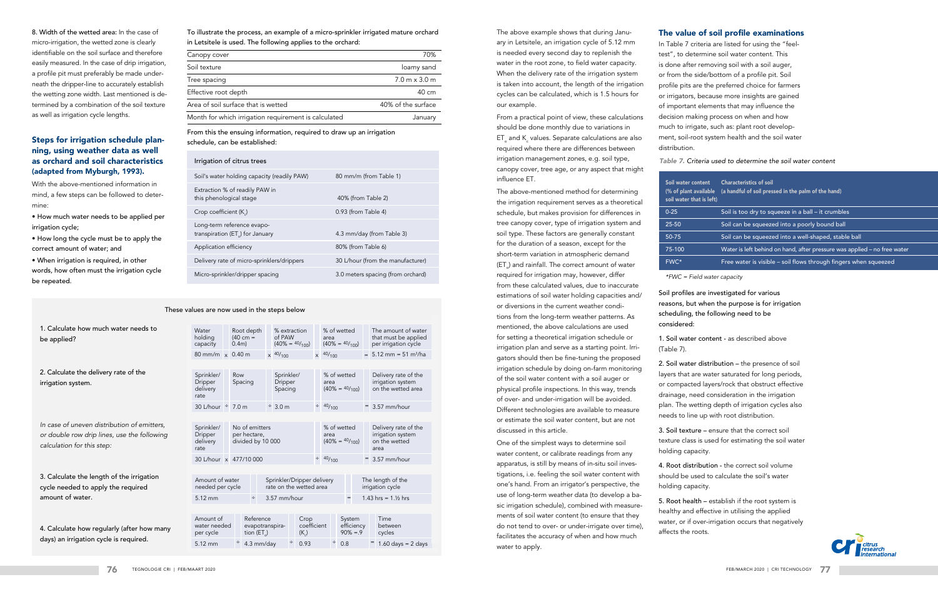The above example shows that during January in Letsitele, an irrigation cycle of 5.12 mm is needed every second day to replenish the water in the root zone, to field water capacity. When the delivery rate of the irrigation system is taken into account, the length of the irrigation cycles can be calculated, which is 1.5 hours for our example.

From a practical point of view, these calculations should be done monthly due to variations in  $\mathsf{ET}_\circ$  and  $\mathsf{K}_\circ$  values. Separate calculations are also required where there are differences between irrigation management zones, e.g. soil type, canopy cover, tree age, or any aspect that might influence ET.

The above-mentioned method for determining the irrigation requirement serves as a theoretical schedule, but makes provision for differences in tree canopy cover, type of irrigation system and soil type. These factors are generally constant for the duration of a season, except for the short-term variation in atmospheric demand (ET) and rainfall. The correct amount of water required for irrigation may, however, differ from these calculated values, due to inaccurate estimations of soil water holding capacities and/ or diversions in the current weather condiions from the long-term weather patterns. As mentioned, the above calculations are used or setting a theoretical irrigation schedule or rrigation plan and serve as a starting point. Irrigators should then be fine-tuning the proposed rrigation schedule by doing on-farm monitoring of the soil water content with a soil auger or physical profile inspections. In this way, trends of over- and under-irrigation will be avoided. Different technologies are available to measure or estimate the soil water content, but are not discussed in this article.

One of the simplest ways to determine soil water content, or calibrate readings from any apparatus, is still by means of in-situ soil invesigations, i.e. feeling the soil water content with one's hand. From an irrigator's perspective, the use of long-term weather data (to develop a baic irrigation schedule), combined with measurements of soil water content (to ensure that they do not tend to over- or under-irrigate over time), acilitates the accuracy of when and how much water to apply.

soil **v** 

### The value of soil profile examinations

In Table 7 criteria are listed for using the "feeltest", to determine soil water content. This is done after removing soil with a soil auger, or from the side/bottom of a profile pit. Soil profile pits are the preferred choice for farmers or irrigators, because more insights are gained of important elements that may influence the decision making process on when and how much to irrigate, such as: plant root development, soil-root system health and the soil water distribution.

#### Table 7. Criteria used to determine the soil water content

Soil profiles are investigated for various reasons, but when the purpose is for irrigation scheduling, the following need to be considered:

1. Soil water content - as described above

(Table 7).

2. Soil water distribution – the presence of soil layers that are water saturated for long periods, or compacted layers/rock that obstruct effective drainage, need consideration in the irrigation plan. The wetting depth of irrigation cycles also needs to line up with root distribution.

3. Soil texture – ensure that the correct soil texture class is used for estimating the soil water holding capacity.

4. Root distribution - the correct soil volume should be used to calculate the soil's water holding capacity.

5. Root health – establish if the root system is healthy and effective in utilising the applied water, or if over-irrigation occurs that negatively affects the roots.



8. Width of the wetted area: In the case of micro-irrigation, the wetted zone is clearly identifiable on the soil surface and therefore easily measured. In the case of drip irrigation, a profile pit must preferably be made underneath the dripper-line to accurately establish the wetting zone width. Last mentioned is determined by a combination of the soil texture as well as irrigation cycle lengths.

### Steps for irrigation schedule planning, using weather data as well as orchard and soil characteristics (adapted from Myburgh, 1993).

With the above-mentioned information in mind, a few steps can be followed to determine:

- How much water needs to be applied per irrigation cycle;
- How long the cycle must be to apply the correct amount of water; and

• When irrigation is required, in other words, how often must the irrigation cycle be repeated.

To illustrate the process, an example of a micro-sprinkler irrigated mature orchard in Letsitele is used. The following applies to the orchard:

| Canopy cover                                         | 70%                                  |
|------------------------------------------------------|--------------------------------------|
| Soil texture                                         | loamy sand                           |
| Tree spacing                                         | $7.0 \text{ m} \times 3.0 \text{ m}$ |
| Effective root depth                                 | 40 cm                                |
| Area of soil surface that is wetted                  | 40% of the surface                   |
| Month for which irrigation requirement is calculated | January                              |

From this the ensuing information, required to draw up an irrigation schedule, can be established:

|                                                                                                                          |                                                  |  | These values are now used in the steps below |                   |                                                       |                           |                                                  |                                          |                                      |                                                   |
|--------------------------------------------------------------------------------------------------------------------------|--------------------------------------------------|--|----------------------------------------------|-------------------|-------------------------------------------------------|---------------------------|--------------------------------------------------|------------------------------------------|--------------------------------------|---------------------------------------------------|
| 1. Calculate how much water needs to<br>be applied?                                                                      | Water<br>holding<br>capacity                     |  | Root depth<br>$(40 cm =$<br>$0.4m$ )         |                   | % extraction<br>of PAW<br>$(40\% = \frac{40}{100})$   |                           | % of wetted<br>area                              |                                          | $(40\% = \frac{40}{100})$            | The amour<br>that must b<br>per irrigatio         |
|                                                                                                                          | 80 mm/m $\times$ 0.40 m                          |  |                                              |                   | $\times$ 40/ <sub>100</sub>                           |                           | $x$ 40/ <sub>100</sub>                           |                                          |                                      | $= 5.12$ mm =                                     |
|                                                                                                                          |                                                  |  |                                              |                   |                                                       |                           |                                                  |                                          |                                      |                                                   |
| 2. Calculate the delivery rate of the<br>irrigation system.                                                              | Sprinkler/<br><b>Dripper</b><br>delivery<br>rate |  | Row<br>Spacing                               |                   | Sprinkler/<br><b>Dripper</b><br>Spacing               |                           | area                                             | % of wetted<br>$(40\% = \frac{40}{100})$ |                                      | Delivery ra<br>irrigation s<br>on the wet         |
|                                                                                                                          | 30 L/hour ÷ 7.0 m                                |  |                                              |                   | $\div$ 3.0 m                                          | $\div$ 40/ <sub>100</sub> |                                                  |                                          |                                      | $3.57$ mm/h                                       |
|                                                                                                                          |                                                  |  |                                              |                   |                                                       |                           |                                                  |                                          |                                      |                                                   |
| In case of uneven distribution of emitters,<br>or double row drip lines, use the following<br>calculation for this step: | Sprinkler/<br>Dripper<br>delivery<br>rate        |  | No of emitters<br>per hectare,               | divided by 10 000 |                                                       |                           | % of wetted<br>area<br>$(40\% = \frac{40}{100})$ |                                          |                                      | Delivery ra<br>irrigation s<br>on the wet<br>area |
|                                                                                                                          |                                                  |  | 30 L/hour x 477/10 000                       |                   |                                                       |                           |                                                  | $\div$ 40/ <sub>100</sub>                |                                      | $= 3.57$ mm/h                                     |
|                                                                                                                          |                                                  |  |                                              |                   |                                                       |                           |                                                  |                                          |                                      |                                                   |
| 3. Calculate the length of the irrigation<br>cycle needed to apply the required                                          | Amount of water<br>needed per cycle              |  |                                              |                   | Sprinkler/Dripper delivery<br>rate on the wetted area |                           |                                                  |                                          |                                      | The length of t<br>irrigation cycle               |
| amount of water.                                                                                                         | 5.12 mm                                          |  | $\div$                                       |                   | 3.57 mm/hour                                          |                           |                                                  |                                          | $=$                                  | 1.43 hrs = $1.1/2$                                |
|                                                                                                                          |                                                  |  |                                              |                   |                                                       |                           |                                                  |                                          |                                      |                                                   |
| 4. Calculate how regularly (after how many                                                                               | Amount of<br>water needed<br>per cycle           |  | Reference<br>evapotranspira-<br>tion (ET)    |                   | (K)                                                   | Crop<br>coefficient       |                                                  |                                          | System<br>efficiency<br>$90\% = 0.9$ | Time<br>between<br>cycles                         |
| days) an irrigation cycle is required.                                                                                   | $ -$                                             |  | $\sim$ $\sim$ $\sim$ $\sim$ $\sim$ $\sim$    |                   | $\cdot$ $\sim$ $\sim$                                 |                           |                                                  | $\sim$ $\sim$                            |                                      | $    -$                                           |

| lues are now used in the steps below             |          |                                                     |                                                       |                                  |                            |   |                           |             |                                     |  |                                                                     |  |  |
|--------------------------------------------------|----------|-----------------------------------------------------|-------------------------------------------------------|----------------------------------|----------------------------|---|---------------------------|-------------|-------------------------------------|--|---------------------------------------------------------------------|--|--|
|                                                  |          |                                                     |                                                       |                                  |                            |   |                           |             |                                     |  |                                                                     |  |  |
| Water<br>holding<br>capacity                     | $0.4m$ ) | Root depth<br>$(40 cm =$                            |                                                       | % extraction<br>of PAW           | $(40\% = \frac{40}{100})$  |   | area                      | % of wetted | $(40\% = \frac{40}{100})$           |  | The amount of water<br>that must be applied<br>per irrigation cycle |  |  |
| 80 mm/m $\times$ 0.40 m                          |          |                                                     | $x$ 40/ <sub>100</sub>                                |                                  |                            |   | $x^{40/100}$              |             |                                     |  | $= 5.12$ mm = 51 m <sup>3</sup> /ha                                 |  |  |
|                                                  |          |                                                     |                                                       |                                  |                            |   |                           |             |                                     |  |                                                                     |  |  |
| Sprinkler/<br><b>Dripper</b><br>delivery<br>rate | Row      | Spacing                                             |                                                       | Sprinkler/<br>Dripper<br>Spacing |                            |   | area                      | % of wetted | $(40\% = \frac{40}{100})$           |  | Delivery rate of the<br>irrigation system<br>on the wetted area     |  |  |
| 30 L/hour $\div$ 7.0 m                           |          |                                                     | $\div$ 3.0 m                                          |                                  |                            |   | $\div$ 40/ <sub>100</sub> |             |                                     |  | $= 3.57$ mm/hour                                                    |  |  |
|                                                  |          |                                                     |                                                       |                                  |                            |   |                           |             |                                     |  |                                                                     |  |  |
| Sprinkler/<br><b>Dripper</b><br>delivery<br>rate |          | No of emitters<br>per hectare,<br>divided by 10 000 |                                                       |                                  |                            |   | area                      | % of wetted | $(40\% = \frac{40}{100})$           |  | Delivery rate of the<br>irrigation system<br>on the wetted<br>area  |  |  |
| 30 L/hour x 477/10 000                           |          |                                                     |                                                       |                                  |                            | ÷ | 40/100                    |             |                                     |  | $= 3.57$ mm/hour                                                    |  |  |
|                                                  |          |                                                     |                                                       |                                  |                            |   |                           |             |                                     |  |                                                                     |  |  |
| Amount of water<br>needed per cycle              |          |                                                     | Sprinkler/Dripper delivery<br>rate on the wetted area |                                  |                            |   |                           |             |                                     |  | The length of the<br>irrigation cycle                               |  |  |
| 5.12 mm                                          |          | ÷                                                   | 3.57 mm/hour                                          |                                  |                            |   |                           |             | $=$                                 |  | 1.43 hrs = $1.1/2$ hrs                                              |  |  |
|                                                  |          |                                                     |                                                       |                                  |                            |   |                           |             |                                     |  |                                                                     |  |  |
| Amount of<br>water needed<br>per cycle           |          | Reference<br>evapotranspira-<br>tion $(ET)$         |                                                       |                                  | Crop<br>coefficient<br>(K) |   |                           |             | System<br>efficiency<br>$90\% = .9$ |  | Time<br>between<br>cycles                                           |  |  |
| 5.12 mm                                          |          | 4.3 mm/day                                          |                                                       | ÷                                | 0.93                       |   |                           | ÷<br>0.8    |                                     |  | $1.60$ days = 2 days                                                |  |  |

| Soil water content<br>(% of plant available<br>soil water that is left) | <b>Characteristics of soil</b><br>(a handful of soil pressed in the palm of the hand) |
|-------------------------------------------------------------------------|---------------------------------------------------------------------------------------|
| $0 - 25$                                                                | Soil is too dry to squeeze in a ball – it crumbles                                    |
| 25-50                                                                   | Soil can be squeezed into a poorly bound ball                                         |
| 50-75                                                                   | Soil can be squeezed into a well-shaped, stable ball                                  |
| 75-100                                                                  | Water is left behind on hand, after pressure was applied - no free water              |
| FWC*                                                                    | Free water is visible - soil flows through fingers when squeezed                      |

*\*FWC = Field water capacity*

| Irrigation of citrus trees                                   |                                   |
|--------------------------------------------------------------|-----------------------------------|
| Soil's water holding capacity (readily PAW)                  | 80 mm/m (from Table 1)            |
| Extraction % of readily PAW in<br>this phenological stage    | 40% (from Table 2)                |
| Crop coefficient (K)                                         | 0.93 (from Table 4)               |
| Long-term reference evapo-<br>transpiration (ET) for January | 4.3 mm/day (from Table 3)         |
| Application efficiency                                       | 80% (from Table 6)                |
| Delivery rate of micro-sprinklers/drippers                   | 30 L/hour (from the manufacturer) |
| Micro-sprinkler/dripper spacing                              | 3.0 meters spacing (from orchard) |